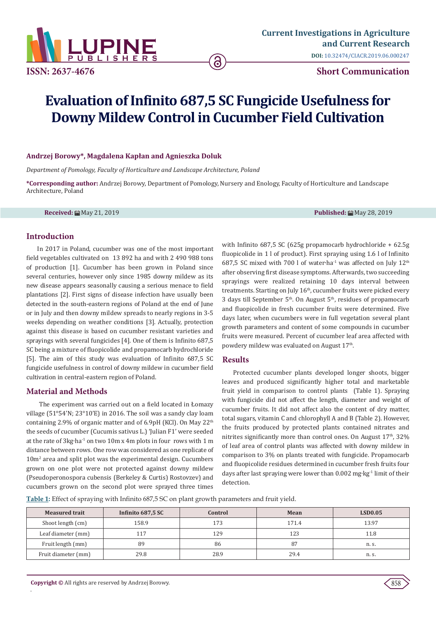

**ISSN: 2637-4676 Short Communication**

# **Evaluation of Infinito 687,5 SC Fungicide Usefulness for Downy Mildew Control in Cucumber Field Cultivation**

### **Andrzej Borowy\*, Magdalena Kapłan and Agnieszka Doluk**

*Department of Pomology, Faculty of Horticulture and Landscape Architecture, Poland*

**\*Corresponding author:** Andrzej Borowy, Department of Pomology, Nursery and Enology, Faculty of Horticulture and Landscape Architecture, Poland

**Received:** May 21, 2019 **Published:** May 28, 2019

## **Introduction**

In 2017 in Poland, cucumber was one of the most important field vegetables cultivated on 13 892 ha and with 2 490 988 tons of production [1]. Cucumber has been grown in Poland since several centuries, however only since 1985 downy mildew as its new disease appears seasonally causing a serious menace to field plantations [2]. First signs of disease infection have usually been detected in the south-eastern regions of Poland at the end of June or in July and then downy mildew spreads to nearly regions in 3-5 weeks depending on weather conditions [3]. Actually, protection against this disease is based on cucumber resistant varieties and sprayings with several fungicides [4]. One of them is Infinito 687,5 SC being a mixture of fluopicolide and propamocarb hydrochloride [5]. The aim of this study was evaluation of Infinito 687,5 SC fungicide usefulness in control of downy mildew in cucumber field cultivation in central-eastern region of Poland.

## **Material and Methods**

 The experiment was carried out on a field located in Łomazy village (51°54'N; 23°10'E) in 2016. The soil was a sandy clay loam containing 2.9% of organic matter and of 6.9pH (KCl). On May 22<sup>th</sup> the seeds of cucumber (Cucumis sativus L.) 'Julian F1' were seeded at the rate of 3kg∙ha-1 on two 10m x 4m plots in four rows with 1 m distance between rows. One row was considered as one replicate of 10m2 area and split plot was the experimental design. Cucumbers grown on one plot were not protected against downy mildew (Pseudoperonospora cubensis (Berkeley & Curtis) Rostovzev) and cucumbers grown on the second plot were sprayed three times

with Infinito 687,5 SC (625g propamocarb hydrochloride + 62.5g fluopicolide in 1 l of product). First spraying using 1.6 l of Infinito 687,5 SC mixed with 700 l of water∙ha-1 was affected on July 12th after observing first disease symptoms. Afterwards, two succeeding sprayings were realized retaining 10 days interval between treatments. Starting on July 16<sup>th</sup>, cucumber fruits were picked every 3 days till September  $5<sup>th</sup>$ . On August  $5<sup>th</sup>$ , residues of propamocarb and fluopicolide in fresh cucumber fruits were determined. Five days later, when cucumbers were in full vegetation several plant growth parameters and content of some compounds in cucumber fruits were measured. Percent of cucumber leaf area affected with powdery mildew was evaluated on August 17<sup>th</sup>.

### **Results**

Protected cucumber plants developed longer shoots, bigger leaves and produced significantly higher total and marketable fruit yield in comparison to control plants (Table 1). Spraying with fungicide did not affect the length, diameter and weight of cucumber fruits. It did not affect also the content of dry matter, total sugars, vitamin C and chlorophyll A and B (Table 2). However, the fruits produced by protected plants contained nitrates and nitrites significantly more than control ones. On August 17<sup>th</sup>, 32% of leaf area of control plants was affected with downy mildew in comparison to 3% on plants treated with fungicide. Propamocarb and fluopicolide residues determined in cucumber fresh fruits four days after last spraying were lower than 0.002 mg∙kg-1 limit of their detection.

**Table 1:** Effect of spraying with Infinito 687,5 SC on plant growth parameters and fruit yield.

| <b>Measured trait</b> | Infinito 687,5 SC | Control | Mean  | <b>LSD0.05</b> |
|-----------------------|-------------------|---------|-------|----------------|
| Shoot length (cm)     | 158.9             | 173     | 171.4 | 13.97          |
| Leaf diameter (mm)    | 117               | 129     | 123   | 11.8           |
| Fruit length (mm)     | 89                | 86      | 87    | n. s.          |
| Fruit diameter (mm)   | 29.8              | 28.9    | 29.4  | n. s.          |

.